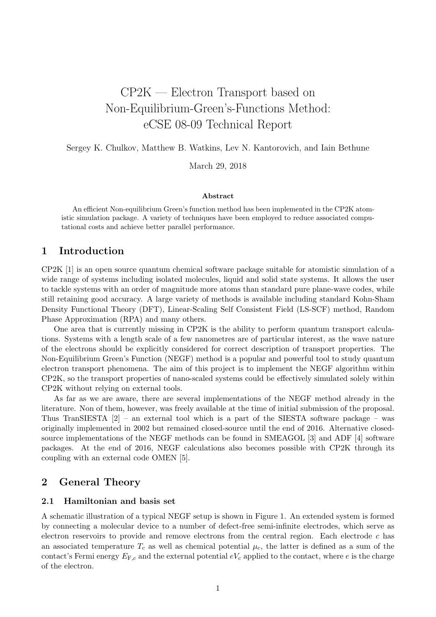# CP2K — Electron Transport based on Non-Equilibrium-Green's-Functions Method: eCSE 08-09 Technical Report

Sergey K. Chulkov, Matthew B. Watkins, Lev N. Kantorovich, and Iain Bethune

March 29, 2018

#### Abstract

An efficient Non-equilibrium Green's function method has been implemented in the CP2K atomistic simulation package. A variety of techniques have been employed to reduce associated computational costs and achieve better parallel performance.

## 1 Introduction

CP2K [\[1\]](#page-10-0) is an open source quantum chemical software package suitable for atomistic simulation of a wide range of systems including isolated molecules, liquid and solid state systems. It allows the user to tackle systems with an order of magnitude more atoms than standard pure plane-wave codes, while still retaining good accuracy. A large variety of methods is available including standard Kohn-Sham Density Functional Theory (DFT), Linear-Scaling Self Consistent Field (LS-SCF) method, Random Phase Approximation (RPA) and many others.

One area that is currently missing in CP2K is the ability to perform quantum transport calculations. Systems with a length scale of a few nanometres are of particular interest, as the wave nature of the electrons should be explicitly considered for correct description of transport properties. The Non-Equilibrium Green's Function (NEGF) method is a popular and powerful tool to study quantum electron transport phenomena. The aim of this project is to implement the NEGF algorithm within CP2K, so the transport properties of nano-scaled systems could be effectively simulated solely within CP2K without relying on external tools.

As far as we are aware, there are several implementations of the NEGF method already in the literature. Non of them, however, was freely available at the time of initial submission of the proposal. Thus TranSIESTA  $[2]$  – an external tool which is a part of the SIESTA software package – was originally implemented in 2002 but remained closed-source until the end of 2016. Alternative closedsource implementations of the NEGF methods can be found in SMEAGOL [\[3\]](#page-10-2) and ADF [\[4\]](#page-10-3) software packages. At the end of 2016, NEGF calculations also becomes possible with CP2K through its coupling with an external code OMEN [\[5\]](#page-10-4).

## 2 General Theory

#### 2.1 Hamiltonian and basis set

A schematic illustration of a typical NEGF setup is shown in Figure [1.](#page-1-0) An extended system is formed by connecting a molecular device to a number of defect-free semi-infinite electrodes, which serve as electron reservoirs to provide and remove electrons from the central region. Each electrode c has an associated temperature  $T_c$  as well as chemical potential  $\mu_c$ , the latter is defined as a sum of the contact's Fermi energy  $E_{\text{F},c}$  and the external potential  $eV_c$  applied to the contact, where e is the charge of the electron.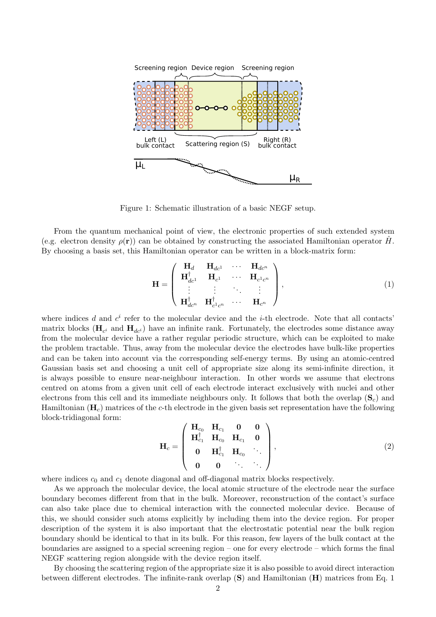

<span id="page-1-0"></span>Figure 1: Schematic illustration of a basic NEGF setup.

From the quantum mechanical point of view, the electronic properties of such extended system (e.g. electron density  $\rho(\mathbf{r})$ ) can be obtained by constructing the associated Hamiltonian operator H. By choosing a basis set, this Hamiltonian operator can be written in a block-matrix form:

<span id="page-1-1"></span>
$$
\mathbf{H} = \begin{pmatrix} \mathbf{H}_{d} & \mathbf{H}_{dc^{1}} & \cdots & \mathbf{H}_{dc^{n}} \\ \mathbf{H}_{dc^{1}}^{\dagger} & \mathbf{H}_{c^{1}} & \cdots & \mathbf{H}_{c^{1}c^{n}} \\ \vdots & \vdots & \ddots & \vdots \\ \mathbf{H}_{dc^{n}}^{\dagger} & \mathbf{H}_{c^{1}c^{n}}^{\dagger} & \cdots & \mathbf{H}_{c^{n}} \end{pmatrix},
$$
\n(1)

where indices d and  $c^i$  refer to the molecular device and the *i*-th electrode. Note that all contacts' matrix blocks ( $\mathbf{H}_{c^i}$  and  $\mathbf{H}_{dc^i}$ ) have an infinite rank. Fortunately, the electrodes some distance away from the molecular device have a rather regular periodic structure, which can be exploited to make the problem tractable. Thus, away from the molecular device the electrodes have bulk-like properties and can be taken into account via the corresponding self-energy terms. By using an atomic-centred Gaussian basis set and choosing a unit cell of appropriate size along its semi-infinite direction, it is always possible to ensure near-neighbour interaction. In other words we assume that electrons centred on atoms from a given unit cell of each electrode interact exclusively with nuclei and other electrons from this cell and its immediate neighbours only. It follows that both the overlap  $(\mathbf{S}_c)$  and Hamiltonian  $(H_c)$  matrices of the c-th electrode in the given basis set representation have the following block-tridiagonal form:

$$
\mathbf{H}_{c} = \left( \begin{array}{cccc} \mathbf{H}_{c_{0}} & \mathbf{H}_{c_{1}} & \mathbf{0} & \mathbf{0} \\ \mathbf{H}_{c_{1}}^{\dagger} & \mathbf{H}_{c_{0}} & \mathbf{H}_{c_{1}} & \mathbf{0} \\ \mathbf{0} & \mathbf{H}_{c_{1}}^{\dagger} & \mathbf{H}_{c_{0}} & \cdots \\ \mathbf{0} & \mathbf{0} & \cdots & \cdots \end{array} \right), \tag{2}
$$

where indices  $c_0$  and  $c_1$  denote diagonal and off-diagonal matrix blocks respectively.

As we approach the molecular device, the local atomic structure of the electrode near the surface boundary becomes different from that in the bulk. Moreover, reconstruction of the contact's surface can also take place due to chemical interaction with the connected molecular device. Because of this, we should consider such atoms explicitly by including them into the device region. For proper description of the system it is also important that the electrostatic potential near the bulk region boundary should be identical to that in its bulk. For this reason, few layers of the bulk contact at the boundaries are assigned to a special screening region – one for every electrode – which forms the final NEGF scattering region alongside with the device region itself.

By choosing the scattering region of the appropriate size it is also possible to avoid direct interaction between different electrodes. The infinite-rank overlap (S) and Hamiltonian (H) matrices from Eq. [1](#page-1-1)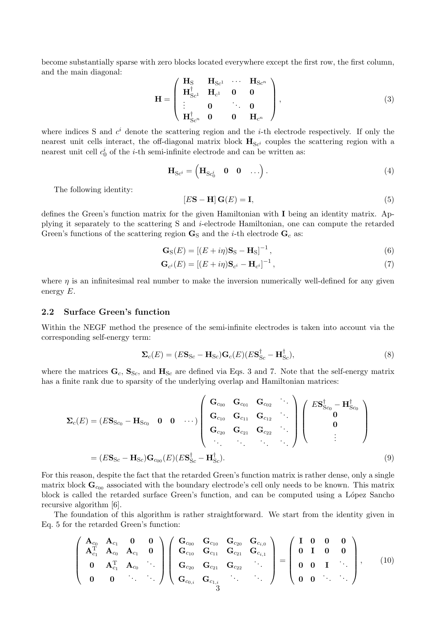become substantially sparse with zero blocks located everywhere except the first row, the first column, and the main diagonal:

<span id="page-2-0"></span>
$$
\mathbf{H} = \begin{pmatrix} \mathbf{H}_{S} & \mathbf{H}_{Sc^{1}} & \cdots & \mathbf{H}_{Sc^{n}} \\ \mathbf{H}_{Sc^{1}}^{\dagger} & \mathbf{H}_{c^{1}} & \mathbf{0} & \mathbf{0} \\ \vdots & \mathbf{0} & \ddots & \mathbf{0} \\ \mathbf{H}_{Sc^{n}}^{\dagger} & \mathbf{0} & \mathbf{0} & \mathbf{H}_{c^{n}} \end{pmatrix},
$$
(3)

where indices S and  $c^i$  denote the scattering region and the *i*-th electrode respectively. If only the nearest unit cells interact, the off-diagonal matrix block  $H_{Sc^i}$  couples the scattering region with a nearest unit cell  $c_0^i$  of the *i*-th semi-infinite electrode and can be written as:

$$
\mathbf{H}_{\mathrm{S}c^i} = \begin{pmatrix} \mathbf{H}_{\mathrm{S}c^i_0} & \mathbf{0} & \mathbf{0} & \dots \end{pmatrix} . \tag{4}
$$

The following identity:

<span id="page-2-2"></span><span id="page-2-1"></span>
$$
[E\mathbf{S} - \mathbf{H}] \mathbf{G}(E) = \mathbf{I},\tag{5}
$$

defines the Green's function matrix for the given Hamiltonian with I being an identity matrix. Applying it separately to the scattering S and i-electrode Hamiltonian, one can compute the retarded Green's functions of the scattering region  $\mathbf{G}_{S}$  and the *i*-th electrode  $\mathbf{G}_{c}$  as:

$$
\mathbf{G}_{\mathrm{S}}(E) = \left[ (E + i\eta)\mathbf{S}_{\mathrm{S}} - \mathbf{H}_{\mathrm{S}} \right]^{-1},\tag{6}
$$

$$
\mathbf{G}_{c^i}(E) = \left[ (E + i\eta) \mathbf{S}_{c^i} - \mathbf{H}_{c^i} \right]^{-1},\tag{7}
$$

where  $\eta$  is an infinitesimal real number to make the inversion numerically well-defined for any given energy E.

#### 2.2 Surface Green's function

Within the NEGF method the presence of the semi-infinite electrodes is taken into account via the corresponding self-energy term:

$$
\Sigma_c(E) = (E\mathbf{S}_{Sc} - \mathbf{H}_{Sc})\mathbf{G}_c(E)(E\mathbf{S}_{Sc}^{\dagger} - \mathbf{H}_{Sc}^{\dagger}),
$$
\n(8)

where the matrices  $\mathbf{G}_c$ ,  $\mathbf{S}_{\text{Sc}}$ , and  $\mathbf{H}_{\text{Sc}}$  are defined via Eqs. [3](#page-2-0) and [7.](#page-2-1) Note that the self-energy matrix has a finite rank due to sparsity of the underlying overlap and Hamiltonian matrices:

$$
\Sigma_{c}(E) = (E\mathbf{S}_{Sc_0} - \mathbf{H}_{Sc_0} \quad 0 \quad 0 \quad \cdots) \begin{pmatrix} \mathbf{G}_{c_{00}} & \mathbf{G}_{c_{01}} & \mathbf{G}_{c_{02}} & \cdots \\ \mathbf{G}_{c_{10}} & \mathbf{G}_{c_{11}} & \mathbf{G}_{c_{12}} & \cdots \\ \mathbf{G}_{c_{20}} & \mathbf{G}_{c_{21}} & \mathbf{G}_{c_{22}} & \cdots \\ \vdots & \vdots & \ddots & \vdots \\ \mathbf{G}_{c_{20}} & \mathbf{G}_{c_{21}} & \mathbf{G}_{c_{22}} & \cdots \end{pmatrix} \begin{pmatrix} E\mathbf{S}_{Sc_0}^{\dagger} - \mathbf{H}_{Sc_0}^{\dagger} \\ \mathbf{0} \\ \vdots \\ \mathbf{0} \end{pmatrix}
$$
\n
$$
= (E\mathbf{S}_{Sc} - \mathbf{H}_{Sc})\mathbf{G}_{co_0}(E)(E\mathbf{S}_{Sc}^{\dagger} - \mathbf{H}_{Sc}^{\dagger}). \tag{9}
$$

For this reason, despite the fact that the retarded Green's function matrix is rather dense, only a single matrix block  $\mathbf{G}_{c_{00}}$  associated with the boundary electrode's cell only needs to be known. This matrix block is called the retarded surface Green's function, and can be computed using a López Sancho recursive algorithm [\[6\]](#page-10-5).

The foundation of this algorithm is rather straightforward. We start from the identity given in Eq. [5](#page-2-2) for the retarded Green's function:

$$
\left(\begin{array}{cccc}\n\mathbf{A}_{c_0} & \mathbf{A}_{c_1} & \mathbf{0} & \mathbf{0} \\
\mathbf{A}_{c_1}^T & \mathbf{A}_{c_0} & \mathbf{A}_{c_1} & \mathbf{0} \\
\mathbf{0} & \mathbf{A}_{c_1}^T & \mathbf{A}_{c_0} & \cdots \\
\mathbf{0} & \mathbf{0} & \cdots & \cdots\n\end{array}\right)\n\left(\begin{array}{cccc}\n\mathbf{G}_{c_{00}} & \mathbf{G}_{c_{10}} & \mathbf{G}_{c_{20}} & \mathbf{G}_{c_{i,0}} \\
\mathbf{G}_{c_{10}} & \mathbf{G}_{c_{21}} & \mathbf{G}_{c_{21}} & \mathbf{G}_{c_{i,1}} \\
\mathbf{G}_{c_{20}} & \mathbf{G}_{c_{21}} & \mathbf{G}_{c_{22}} & \cdots \\
\mathbf{G}_{c_{0,i}} & \mathbf{G}_{c_{1,i}} & \cdots & \cdots\n\end{array}\right) = \left(\begin{array}{cccc}\n\mathbf{I} & \mathbf{0} & \mathbf{0} & \mathbf{0} \\
\mathbf{0} & \mathbf{I} & \mathbf{0} & \mathbf{0} \\
\mathbf{0} & \mathbf{0} & \mathbf{I} & \cdots \\
\mathbf{0} & \mathbf{0} & \cdots & \cdots\n\end{array}\right),\n\tag{10}
$$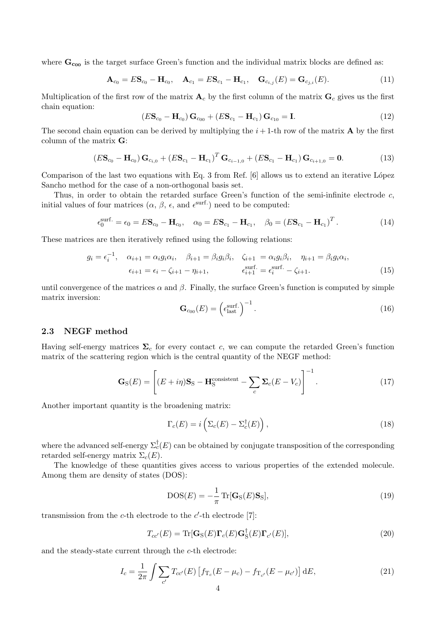where  $\mathbf{G}_{\text{co}}$  is the target surface Green's function and the individual matrix blocks are defined as:

$$
\mathbf{A}_{c_0} = E\mathbf{S}_{c_0} - \mathbf{H}_{c_0}, \quad \mathbf{A}_{c_1} = E\mathbf{S}_{c_1} - \mathbf{H}_{c_1}, \quad \mathbf{G}_{c_{i,j}}(E) = \mathbf{G}_{c_{j,i}}(E). \tag{11}
$$

Multiplication of the first row of the matrix  $A_c$  by the first column of the matrix  $G_c$  gives us the first chain equation:

$$
(E\mathbf{S}_{c_0} - \mathbf{H}_{c_0})\mathbf{G}_{c_{00}} + (E\mathbf{S}_{c_1} - \mathbf{H}_{c_1})\mathbf{G}_{c_{10}} = \mathbf{I}.
$$
 (12)

The second chain equation can be derived by multiplying the  $i + 1$ -th row of the matrix **A** by the first column of the matrix G:

$$
(E\mathbf{S}_{c_0} - \mathbf{H}_{c_0})\mathbf{G}_{c_{i,0}} + (E\mathbf{S}_{c_1} - \mathbf{H}_{c_1})^T\mathbf{G}_{c_{i-1,0}} + (E\mathbf{S}_{c_1} - \mathbf{H}_{c_1})\mathbf{G}_{c_{i+1,0}} = \mathbf{0}.
$$
 (13)

Comparison of the last two equations with Eq. 3 from Ref.  $[6]$  allows us to extend an iterative López Sancho method for the case of a non-orthogonal basis set.

Thus, in order to obtain the retarded surface Green's function of the semi-infinite electrode c, initial values of four matrices  $(\alpha, \beta, \epsilon, \text{ and } \epsilon^{\text{surf.}})$  need to be computed:

$$
\epsilon_0^{\text{surf.}} = \epsilon_0 = E\mathbf{S}_{c_0} - \mathbf{H}_{c_0}, \quad \alpha_0 = E\mathbf{S}_{c_1} - \mathbf{H}_{c_1}, \quad \beta_0 = (E\mathbf{S}_{c_1} - \mathbf{H}_{c_1})^T.
$$
 (14)

These matrices are then iteratively refined using the following relations:

$$
g_i = \epsilon_i^{-1}, \quad \alpha_{i+1} = \alpha_i g_i \alpha_i, \quad \beta_{i+1} = \beta_i g_i \beta_i, \quad \zeta_{i+1} = \alpha_i g_i \beta_i, \quad \eta_{i+1} = \beta_i g_i \alpha_i,
$$

$$
\epsilon_{i+1} = \epsilon_i - \zeta_{i+1} - \eta_{i+1}, \qquad \epsilon_{i+1}^{\text{surf.}} = \epsilon_i^{\text{surf.}} - \zeta_{i+1}.
$$
(15)

until convergence of the matrices  $\alpha$  and  $\beta$ . Finally, the surface Green's function is computed by simple matrix inversion:

$$
\mathbf{G}_{\text{c}_{00}}(E) = \left(\epsilon_{\text{last}}^{\text{surf.}}\right)^{-1}.\tag{16}
$$

#### 2.3 NEGF method

Having self-energy matrices  $\Sigma_c$  for every contact c, we can compute the retarded Green's function matrix of the scattering region which is the central quantity of the NEGF method:

<span id="page-3-0"></span>
$$
\mathbf{G}_{\rm S}(E) = \left[ (E + i\eta) \mathbf{S}_{\rm S} - \mathbf{H}_{\rm S}^{\rm consistent} - \sum_{c} \Sigma_{c} (E - V_{c}) \right]^{-1}.
$$
 (17)

Another important quantity is the broadening matrix:

$$
\Gamma_c(E) = i \left( \Sigma_c(E) - \Sigma_c^{\dagger}(E) \right), \tag{18}
$$

where the advanced self-energy  $\Sigma_c^{\dagger}(E)$  can be obtained by conjugate transposition of the corresponding retarded self-energy matrix  $\Sigma_c(E)$ .

The knowledge of these quantities gives access to various properties of the extended molecule. Among them are density of states (DOS):

$$
DOS(E) = -\frac{1}{\pi} \operatorname{Tr}[\mathbf{G}_{S}(E)\mathbf{S}_{S}], \qquad (19)
$$

transmission from the  $c$ -th electrode to the  $c'$ -th electrode [\[7\]](#page-10-6):

$$
T_{cc'}(E) = \text{Tr}[\mathbf{G}_{S}(E)\mathbf{\Gamma}_{c}(E)\mathbf{G}_{S}^{\dagger}(E)\mathbf{\Gamma}_{c'}(E)],
$$
\n(20)

and the steady-state current through the c-th electrode:

$$
I_c = \frac{1}{2\pi} \int \sum_{c'} T_{cc'}(E) \left[ f_{T_c}(E - \mu_c) - f_{T_{c'}}(E - \mu_{c'}) \right] dE,
$$
\n(21)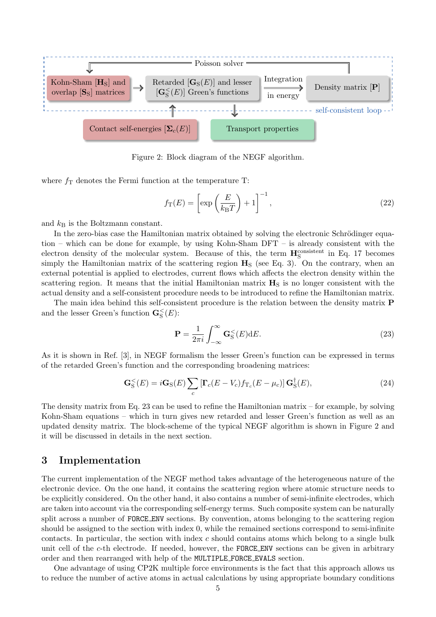

<span id="page-4-1"></span>Figure 2: Block diagram of the NEGF algorithm.

where  $f<sub>T</sub>$  denotes the Fermi function at the temperature T:

$$
f_{\rm T}(E) = \left[ \exp\left(\frac{E}{k_{\rm B}T}\right) + 1 \right]^{-1},\tag{22}
$$

and  $k_B$  is the Boltzmann constant.

In the zero-bias case the Hamiltonian matrix obtained by solving the electronic Schrödinger equation – which can be done for example, by using Kohn-Sham DFT – is already consistent with the electron density of the molecular system. Because of this, the term  $\mathbf{H}_{\rm S}^{\rm consistent}$  in Eq. [17](#page-3-0) becomes simply the Hamiltonian matrix of the scattering region  $H<sub>S</sub>$  (see Eq. [3\)](#page-2-0). On the contrary, when an external potential is applied to electrodes, current flows which affects the electron density within the scattering region. It means that the initial Hamiltonian matrix  $H<sub>S</sub>$  is no longer consistent with the actual density and a self-consistent procedure needs to be introduced to refine the Hamiltonian matrix.

The main idea behind this self-consistent procedure is the relation between the density matrix P and the lesser Green's function  $\mathbf{G}_{\mathrm{S}}^{\leq}(E)$ :

<span id="page-4-0"></span>
$$
\mathbf{P} = \frac{1}{2\pi i} \int_{-\infty}^{\infty} \mathbf{G}_{\mathrm{S}}^{\leq}(E) \mathrm{d}E. \tag{23}
$$

As it is shown in Ref. [\[3\]](#page-10-2), in NEGF formalism the lesser Green's function can be expressed in terms of the retarded Green's function and the corresponding broadening matrices:

<span id="page-4-2"></span>
$$
\mathbf{G}_{\mathrm{S}}^{\leq}(E) = i\mathbf{G}_{\mathrm{S}}(E)\sum_{c} \left[\mathbf{\Gamma}_{c}(E-V_{c})f_{\mathrm{T}_{c}}(E-\mu_{c})\right]\mathbf{G}_{\mathrm{S}}^{\dagger}(E), \tag{24}
$$

The density matrix from Eq. [23](#page-4-0) can be used to refine the Hamiltonian matrix – for example, by solving Kohn-Sham equations – which in turn gives new retarded and lesser Green's function as well as an updated density matrix. The block-scheme of the typical NEGF algorithm is shown in Figure [2](#page-4-1) and it will be discussed in details in the next section.

## 3 Implementation

The current implementation of the NEGF method takes advantage of the heterogeneous nature of the electronic device. On the one hand, it contains the scattering region where atomic structure needs to be explicitly considered. On the other hand, it also contains a number of semi-infinite electrodes, which are taken into account via the corresponding self-energy terms. Such composite system can be naturally split across a number of FORCE ENV sections. By convention, atoms belonging to the scattering region should be assigned to the section with index 0, while the remained sections correspond to semi-infinite contacts. In particular, the section with index  $c$  should contains atoms which belong to a single bulk unit cell of the  $c$ -th electrode. If needed, however, the FORCE ENV sections can be given in arbitrary order and then rearranged with help of the MULTIPLE FORCE EVALS section.

One advantage of using CP2K multiple force environments is the fact that this approach allows us to reduce the number of active atoms in actual calculations by using appropriate boundary conditions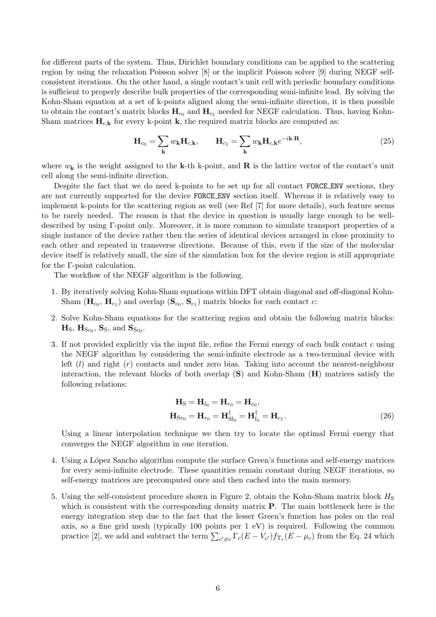for different parts of the system. Thus, Dirichlet boundary conditions can be applied to the scattering region by using the relaxation Poisson solver [\[8\]](#page-10-7) or the implicit Poisson solver [\[9\]](#page-10-8) during NEGF selfconsistent iterations. On the other hand, a single contact's unit cell with periodic boundary conditions is sufficient to properly describe bulk properties of the corresponding semi-infinite lead. By solving the Kohn-Sham equation at a set of k-points aligned along the semi-infinite direction, it is then possible to obtain the contact's matrix blocks  $H_{c_0}$  and  $H_{c_1}$  needed for NEGF calculation. Thus, having Kohn-Sham matrices  $\mathbf{H}_{c,\mathbf{k}}$  for every k-point **k**, the required matrix blocks are computed as:

$$
\mathbf{H}_{c_0} = \sum_{\mathbf{k}} w_{\mathbf{k}} \mathbf{H}_{c,\mathbf{k}}, \qquad \mathbf{H}_{c_1} = \sum_{\mathbf{k}} w_{\mathbf{k}} \mathbf{H}_{c,\mathbf{k}} e^{-i\mathbf{k}\cdot\mathbf{R}}, \tag{25}
$$

where  $w_{\mathbf{k}}$  is the weight assigned to the **k**-th k-point, and **R** is the lattice vector of the contact's unit cell along the semi-infinite direction.

Despite the fact that we do need k-points to be set up for all contact FORCE ENV sections, they are not currently supported for the device FORCE ENV section itself. Whereas it is relatively easy to implement k-points for the scattering region as well (see Ref [\[7\]](#page-10-6) for more details), such feature seems to be rarely needed. The reason is that the device in question is usually large enough to be welldescribed by using Γ-point only. Moreover, it is more common to simulate transport properties of a single instance of the device rather then the series of identical devices arranged in close proximity to each other and repeated in transverse directions. Because of this, even if the size of the molecular device itself is relatively small, the size of the simulation box for the device region is still appropriate for the Γ-point calculation.

The workflow of the NEGF algorithm is the following.

- 1. By iteratively solving Kohn-Sham equations within DFT obtain diagonal and off-diagonal Kohn-Sham  $(\mathbf{H}_{c_0}, \mathbf{H}_{c_1})$  and overlap  $(\mathbf{S}_{c_0}, \mathbf{S}_{c_1})$  matrix blocks for each contact  $c$ :
- 2. Solve Kohn-Sham equations for the scattering region and obtain the following matrix blocks:  $\mathbf{H}_\text{S}$ ,  $\mathbf{H}_{\text{S}c_0}$ ,  $\mathbf{S}_\text{S}$ , and  $\mathbf{S}_{\text{S}c_0}$ .
- 3. If not provided explicitly via the input file, refine the Fermi energy of each bulk contact c using the NEGF algorithm by considering the semi-infinite electrode as a two-terminal device with left  $(l)$  and right  $(r)$  contacts and under zero bias. Taking into account the nearest-neighbour interaction, the relevant blocks of both overlap  $(\mathbf{S})$  and Kohn-Sham  $(\mathbf{H})$  matrices satisfy the following relations:

$$
\mathbf{H}_{\mathrm{S}} = \mathbf{H}_{l_0} = \mathbf{H}_{r_0} = \mathbf{H}_{c_0},
$$
  

$$
\mathbf{H}_{\mathrm{Sr}_0} = \mathbf{H}_{r_0} = \mathbf{H}_{\mathrm{S}l_0}^{\dagger} = \mathbf{H}_{l_0}^{\dagger} = \mathbf{H}_{c_1}.
$$
 (26)

Using a linear interpolation technique we then try to locate the optimal Fermi energy that converges the NEGF algorithm in one iteration.

- 4. Using a L´opez Sancho algorithm compute the surface Green's functions and self-energy matrices for every semi-infinite electrode. These quantities remain constant during NEGF iterations, so self-energy matrices are precomputed once and then cached into the main memory.
- 5. Using the self-consistent procedure shown in Figure [2,](#page-4-1) obtain the Kohn-Sham matrix block  $H<sub>S</sub>$ which is consistent with the corresponding density matrix **P**. The main bottleneck here is the energy integration step due to the fact that the lesser Green's function has poles on the real axis, so a fine grid mesh (typically 100 points per 1 eV) is required. Following the common practice [\[2\]](#page-10-1), we add and subtract the term  $\sum_{c'\neq c} \Gamma_c(E-V_{c'}) f_{T_c}(E-\mu_c)$  from the Eq. [24](#page-4-2) which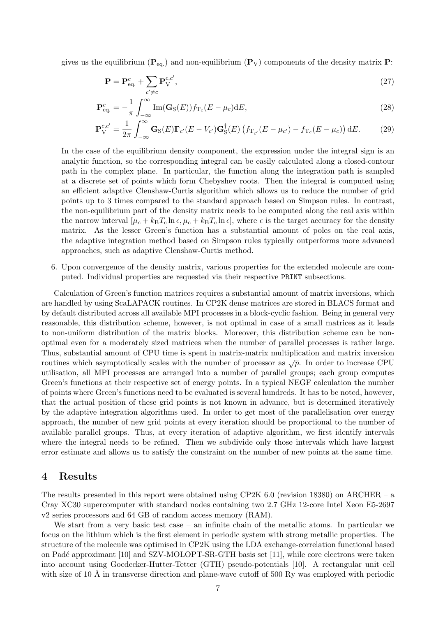gives us the equilibrium ( $\mathbf{P}_{eq.}$ ) and non-equilibrium ( $\mathbf{P}_{V}$ ) components of the density matrix  $\mathbf{P}$ :

$$
\mathbf{P} = \mathbf{P}_{\text{eq.}}^c + \sum_{c' \neq c} \mathbf{P}_{\text{V}}^{c,c'},\tag{27}
$$

$$
\mathbf{P}_{\text{eq.}}^{c} = -\frac{1}{\pi} \int_{-\infty}^{\infty} \text{Im}(\mathbf{G}_{\text{S}}(E)) f_{\text{T}_c}(E - \mu_c) \text{d}E,\tag{28}
$$

$$
\mathbf{P}_{\mathrm{V}}^{c,c'} = \frac{1}{2\pi} \int_{-\infty}^{\infty} \mathbf{G}_{\mathrm{S}}(E) \mathbf{\Gamma}_{c'}(E - V_{c'}) \mathbf{G}_{\mathrm{S}}^{\dagger}(E) \left( f_{\mathrm{T}_{c'}}(E - \mu_{c'}) - f_{\mathrm{T}_{c}}(E - \mu_{c}) \right) dE. \tag{29}
$$

In the case of the equilibrium density component, the expression under the integral sign is an analytic function, so the corresponding integral can be easily calculated along a closed-contour path in the complex plane. In particular, the function along the integration path is sampled at a discrete set of points which form Chebyshev roots. Then the integral is computed using an efficient adaptive Clenshaw-Curtis algorithm which allows us to reduce the number of grid points up to 3 times compared to the standard approach based on Simpson rules. In contrast, the non-equilibrium part of the density matrix needs to be computed along the real axis within the narrow interval  $[\mu_c + k_B T_c \ln \epsilon, \mu_c + k_B T_c \ln \epsilon]$ , where  $\epsilon$  is the target accuracy for the density matrix. As the lesser Green's function has a substantial amount of poles on the real axis, the adaptive integration method based on Simpson rules typically outperforms more advanced approaches, such as adaptive Clenshaw-Curtis method.

6. Upon convergence of the density matrix, various properties for the extended molecule are computed. Individual properties are requested via their respective PRINT subsections.

Calculation of Green's function matrices requires a substantial amount of matrix inversions, which are handled by using ScaLAPACK routines. In CP2K dense matrices are stored in BLACS format and by default distributed across all available MPI processes in a block-cyclic fashion. Being in general very reasonable, this distribution scheme, however, is not optimal in case of a small matrices as it leads to non-uniform distribution of the matrix blocks. Moreover, this distribution scheme can be nonoptimal even for a moderately sized matrices when the number of parallel processes is rather large. Thus, substantial amount of CPU time is spent in matrix-matrix multiplication and matrix inversion routines which asymptotically scales with the number of processor as  $\sqrt{p}$ . In order to increase CPU utilisation, all MPI processes are arranged into a number of parallel groups; each group computes Green's functions at their respective set of energy points. In a typical NEGF calculation the number of points where Green's functions need to be evaluated is several hundreds. It has to be noted, however, that the actual position of these grid points is not known in advance, but is determined iteratively by the adaptive integration algorithms used. In order to get most of the parallelisation over energy approach, the number of new grid points at every iteration should be proportional to the number of available parallel groups. Thus, at every iteration of adaptive algorithm, we first identify intervals where the integral needs to be refined. Then we subdivide only those intervals which have largest error estimate and allows us to satisfy the constraint on the number of new points at the same time.

### 4 Results

The results presented in this report were obtained using CP2K 6.0 (revision 18380) on ARCHER – a Cray XC30 supercomputer with standard nodes containing two 2.7 GHz 12-core Intel Xeon E5-2697 v2 series processors and 64 GB of random access memory (RAM).

We start from a very basic test case – an infinite chain of the metallic atoms. In particular we focus on the lithium which is the first element in periodic system with strong metallic properties. The structure of the molecule was optimised in CP2K using the LDA exchange-correlation functional based on Padé approximant [\[10\]](#page-10-9) and SZV-MOLOPT-SR-GTH basis set [\[11\]](#page-10-10), while core electrons were taken into account using Goedecker-Hutter-Tetter (GTH) pseudo-potentials [\[10\]](#page-10-9). A rectangular unit cell with size of 10 Å in transverse direction and plane-wave cutoff of 500 Ry was employed with periodic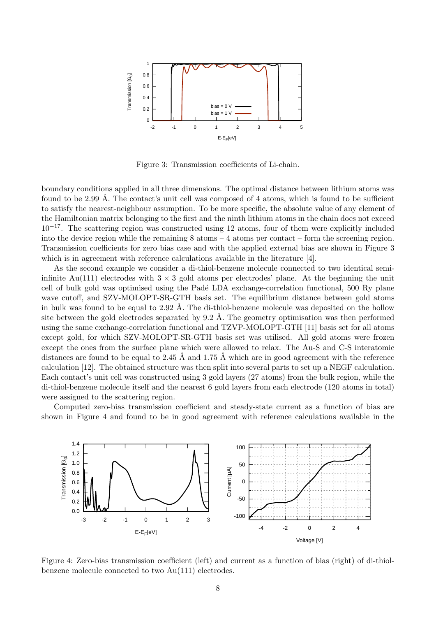

<span id="page-7-0"></span>Figure 3: Transmission coefficients of Li-chain.

boundary conditions applied in all three dimensions. The optimal distance between lithium atoms was found to be 2.99 A. The contact's unit cell was composed of 4 atoms, which is found to be sufficient to satisfy the nearest-neighbour assumption. To be more specific, the absolute value of any element of the Hamiltonian matrix belonging to the first and the ninth lithium atoms in the chain does not exceed  $10^{-17}$ . The scattering region was constructed using 12 atoms, four of them were explicitly included into the device region while the remaining 8 atoms – 4 atoms per contact – form the screening region. Transmission coefficients for zero bias case and with the applied external bias are shown in Figure [3](#page-7-0) which is in agreement with reference calculations available in the literature [\[4\]](#page-10-3).

As the second example we consider a di-thiol-benzene molecule connected to two identical semiinfinite Au(111) electrodes with  $3 \times 3$  gold atoms per electrodes' plane. At the beginning the unit cell of bulk gold was optimised using the Padé LDA exchange-correlation functional, 500 Ry plane wave cutoff, and SZV-MOLOPT-SR-GTH basis set. The equilibrium distance between gold atoms in bulk was found to be equal to  $2.92 \text{ Å}$ . The di-thiol-benzene molecule was deposited on the hollow site between the gold electrodes separated by  $9.2 \text{ Å}$ . The geometry optimisation was then performed using the same exchange-correlation functional and TZVP-MOLOPT-GTH [\[11\]](#page-10-10) basis set for all atoms except gold, for which SZV-MOLOPT-SR-GTH basis set was utilised. All gold atoms were frozen except the ones from the surface plane which were allowed to relax. The Au-S and C-S interatomic distances are found to be equal to 2.45 Å and 1.75 Å which are in good agreement with the reference calculation [\[12\]](#page-10-11). The obtained structure was then split into several parts to set up a NEGF calculation. Each contact's unit cell was constructed using 3 gold layers (27 atoms) from the bulk region, while the di-thiol-benzene molecule itself and the nearest 6 gold layers from each electrode (120 atoms in total) were assigned to the scattering region.

Computed zero-bias transmission coefficient and steady-state current as a function of bias are shown in Figure [4](#page-7-1) and found to be in good agreement with reference calculations available in the



<span id="page-7-1"></span>Figure 4: Zero-bias transmission coefficient (left) and current as a function of bias (right) of di-thiolbenzene molecule connected to two Au(111) electrodes.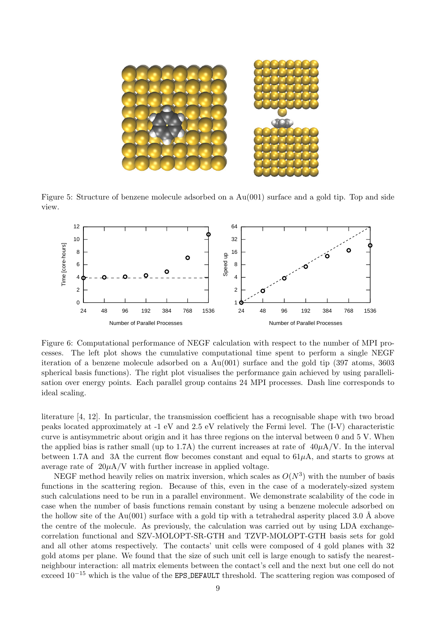

Figure 5: Structure of benzene molecule adsorbed on a Au(001) surface and a gold tip. Top and side view.

<span id="page-8-0"></span>

<span id="page-8-1"></span>Figure 6: Computational performance of NEGF calculation with respect to the number of MPI processes. The left plot shows the cumulative computational time spent to perform a single NEGF iteration of a benzene molecule adsorbed on a Au(001) surface and the gold tip (397 atoms, 3603 spherical basis functions). The right plot visualises the performance gain achieved by using parallelisation over energy points. Each parallel group contains 24 MPI processes. Dash line corresponds to ideal scaling.

literature [\[4,](#page-10-3) [12\]](#page-10-11). In particular, the transmission coefficient has a recognisable shape with two broad peaks located approximately at -1 eV and 2.5 eV relatively the Fermi level. The (I-V) characteristic curve is antisymmetric about origin and it has three regions on the interval between 0 and 5 V. When the applied bias is rather small (up to 1.7A) the current increases at rate of  $40\mu\text{A/V}$ . In the interval between 1.7A and 3A the current flow becomes constant and equal to  $61\mu$ A, and starts to grows at average rate of  $20\mu\text{A/V}$  with further increase in applied voltage.

NEGF method heavily relies on matrix inversion, which scales as  $O(N^3)$  with the number of basis functions in the scattering region. Because of this, even in the case of a moderately-sized system such calculations need to be run in a parallel environment. We demonstrate scalability of the code in case when the number of basis functions remain constant by using a benzene molecule adsorbed on the hollow site of the Au(001) surface with a gold tip with a tetrahedral asperity placed 3.0 Å above the centre of the molecule. As previously, the calculation was carried out by using LDA exchangecorrelation functional and SZV-MOLOPT-SR-GTH and TZVP-MOLOPT-GTH basis sets for gold and all other atoms respectively. The contacts' unit cells were composed of 4 gold planes with 32 gold atoms per plane. We found that the size of such unit cell is large enough to satisfy the nearestneighbour interaction: all matrix elements between the contact's cell and the next but one cell do not exceed  $10^{-15}$  which is the value of the EPS DEFAULT threshold. The scattering region was composed of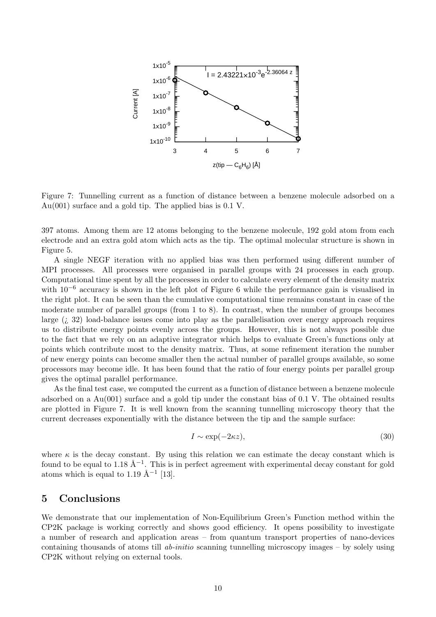

<span id="page-9-0"></span>Figure 7: Tunnelling current as a function of distance between a benzene molecule adsorbed on a Au(001) surface and a gold tip. The applied bias is 0.1 V.

397 atoms. Among them are 12 atoms belonging to the benzene molecule, 192 gold atom from each electrode and an extra gold atom which acts as the tip. The optimal molecular structure is shown in Figure [5.](#page-8-0)

A single NEGF iteration with no applied bias was then performed using different number of MPI processes. All processes were organised in parallel groups with 24 processes in each group. Computational time spent by all the processes in order to calculate every element of the density matrix with  $10^{-6}$  $10^{-6}$  $10^{-6}$  accuracy is shown in the left plot of Figure 6 while the performance gain is visualised in the right plot. It can be seen than the cumulative computational time remains constant in case of the moderate number of parallel groups (from 1 to 8). In contrast, when the number of groups becomes large  $(i, 32)$  load-balance issues come into play as the parallelisation over energy approach requires us to distribute energy points evenly across the groups. However, this is not always possible due to the fact that we rely on an adaptive integrator which helps to evaluate Green's functions only at points which contribute most to the density matrix. Thus, at some refinement iteration the number of new energy points can become smaller then the actual number of parallel groups available, so some processors may become idle. It has been found that the ratio of four energy points per parallel group gives the optimal parallel performance.

As the final test case, we computed the current as a function of distance between a benzene molecule adsorbed on a Au(001) surface and a gold tip under the constant bias of 0.1 V. The obtained results are plotted in Figure [7.](#page-9-0) It is well known from the scanning tunnelling microscopy theory that the current decreases exponentially with the distance between the tip and the sample surface:

$$
I \sim \exp(-2\kappa z),\tag{30}
$$

where  $\kappa$  is the decay constant. By using this relation we can estimate the decay constant which is found to be equal to 1.18  $\AA^{-1}$ . This is in perfect agreement with experimental decay constant for gold atoms which is equal to 1.19  $\AA^{-1}$  [\[13\]](#page-10-12).

## 5 Conclusions

We demonstrate that our implementation of Non-Equilibrium Green's Function method within the CP2K package is working correctly and shows good efficiency. It opens possibility to investigate a number of research and application areas – from quantum transport properties of nano-devices containing thousands of atoms till ab-initio scanning tunnelling microscopy images – by solely using CP2K without relying on external tools.